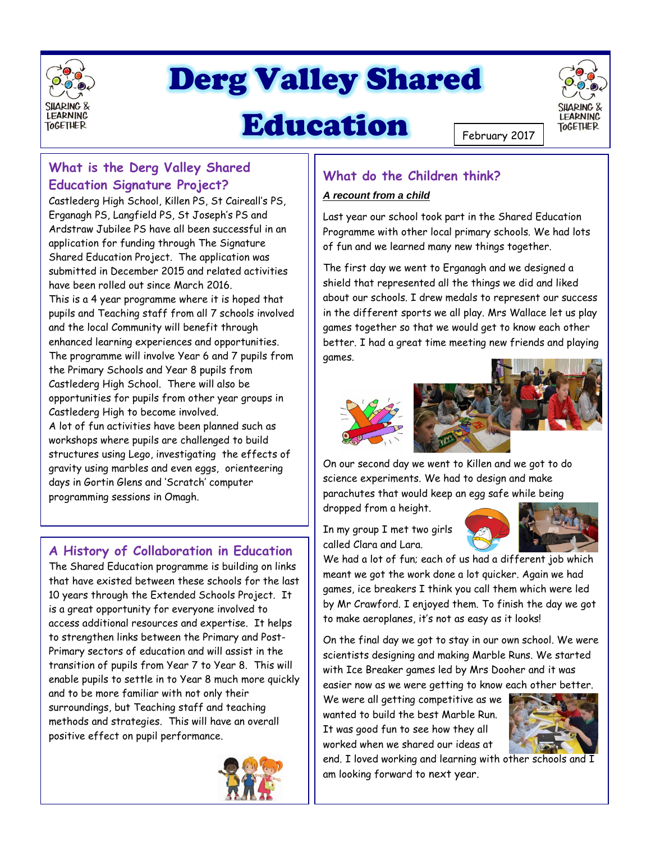

# Derg Valley Shared

## Education



**LEARNING** 

**TOGETHER** 

### **What is the Derg Valley Shared Education Signature Project?**

Castlederg High School, Killen PS, St Caireall's PS, Erganagh PS, Langfield PS, St Joseph's PS and Ardstraw Jubilee PS have all been successful in an application for funding through The Signature Shared Education Project. The application was submitted in December 2015 and related activities have been rolled out since March 2016. This is a 4 year programme where it is hoped that pupils and Teaching staff from all 7 schools involved

and the local Community will benefit through enhanced learning experiences and opportunities. The programme will involve Year 6 and 7 pupils from the Primary Schools and Year 8 pupils from Castlederg High School. There will also be opportunities for pupils from other year groups in Castlederg High to become involved.

A lot of fun activities have been planned such as workshops where pupils are challenged to build structures using Lego, investigating the effects of gravity using marbles and even eggs, orienteering days in Gortin Glens and 'Scratch' computer programming sessions in Omagh.

## **A History of Collaboration in Education**

The Shared Education programme is building on links that have existed between these schools for the last 10 years through the Extended Schools Project. It is a great opportunity for everyone involved to access additional resources and expertise. It helps to strengthen links between the Primary and Post-Primary sectors of education and will assist in the transition of pupils from Year 7 to Year 8. This will enable pupils to settle in to Year 8 much more quickly and to be more familiar with not only their surroundings, but Teaching staff and teaching methods and strategies. This will have an overall positive effect on pupil performance.



## **What do the Children think?**

#### *A recount from a child*

Last year our school took part in the Shared Education Programme with other local primary schools. We had lots of fun and we learned many new things together.

The first day we went to Erganagh and we designed a shield that represented all the things we did and liked about our schools. I drew medals to represent our success in the different sports we all play. Mrs Wallace let us play games together so that we would get to know each other better. I had a great time meeting new friends and playing games.



On our second day we went to Killen and we got to do science experiments. We had to design and make parachutes that would keep an egg safe while being dropped from a height.

In my group I met two girls called Clara and Lara.



We had a lot of fun; each of us had a different job which meant we got the work done a lot quicker. Again we had games, ice breakers I think you call them which were led by Mr Crawford. I enjoyed them. To finish the day we got to make aeroplanes, it's not as easy as it looks!

On the final day we got to stay in our own school. We were scientists designing and making Marble Runs. We started with Ice Breaker games led by Mrs Dooher and it was easier now as we were getting to know each other better.

We were all getting competitive as we wanted to build the best Marble Run. It was good fun to see how they all worked when we shared our ideas at



end. I loved working and learning with other schools and  $\overline{I}$ am looking forward to next year.